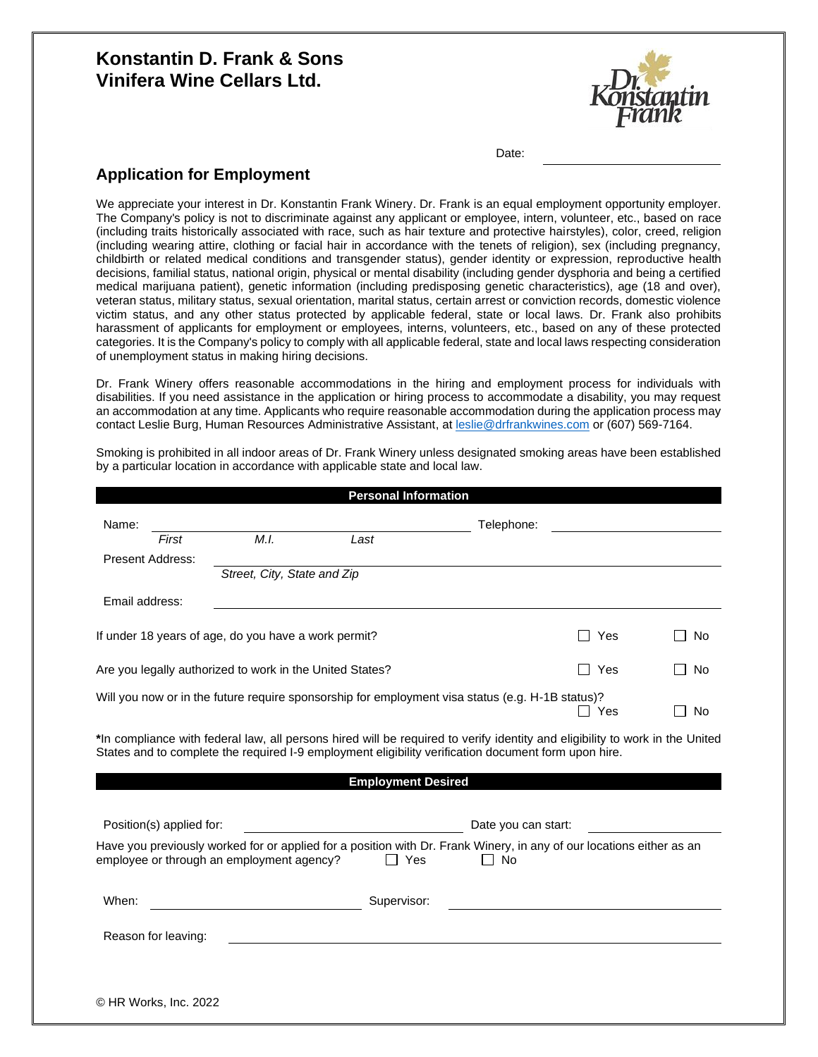# **Konstantin D. Frank & Sons Vinifera Wine Cellars Ltd.**



Date:

## **Application for Employment**

We appreciate your interest in Dr. Konstantin Frank Winery. Dr. Frank is an equal employment opportunity employer. The Company's policy is not to discriminate against any applicant or employee, intern, volunteer, etc., based on race (including traits historically associated with race, such as hair texture and protective hairstyles), color, creed, religion (including wearing attire, clothing or facial hair in accordance with the tenets of religion), sex (including pregnancy, childbirth or related medical conditions and transgender status), gender identity or expression, reproductive health decisions, familial status, national origin, physical or mental disability (including gender dysphoria and being a certified medical marijuana patient), genetic information (including predisposing genetic characteristics), age (18 and over), veteran status, military status, sexual orientation, marital status, certain arrest or conviction records, domestic violence victim status, and any other status protected by applicable federal, state or local laws. Dr. Frank also prohibits harassment of applicants for employment or employees, interns, volunteers, etc., based on any of these protected categories. It is the Company's policy to comply with all applicable federal, state and local laws respecting consideration of unemployment status in making hiring decisions.

Dr. Frank Winery offers reasonable accommodations in the hiring and employment process for individuals with disabilities. If you need assistance in the application or hiring process to accommodate a disability, you may request an accommodation at any time. Applicants who require reasonable accommodation during the application process may contact Leslie Burg, Human Resources Administrative Assistant, at [leslie@drfrankwines.com](mailto:leslie@drfrankwines.com) or (607) 569-7164.

Smoking is prohibited in all indoor areas of Dr. Frank Winery unless designated smoking areas have been established by a particular location in accordance with applicable state and local law.

|                                                          |                             | <b>Personal Information</b> |                                                                                                                                                                                                                                      |     |    |
|----------------------------------------------------------|-----------------------------|-----------------------------|--------------------------------------------------------------------------------------------------------------------------------------------------------------------------------------------------------------------------------------|-----|----|
| Name:                                                    |                             |                             | Telephone:                                                                                                                                                                                                                           |     |    |
| First                                                    | M.I.                        | Last                        |                                                                                                                                                                                                                                      |     |    |
| <b>Present Address:</b>                                  | Street, City, State and Zip |                             |                                                                                                                                                                                                                                      |     |    |
| Email address:                                           |                             |                             |                                                                                                                                                                                                                                      |     |    |
| If under 18 years of age, do you have a work permit?     |                             |                             |                                                                                                                                                                                                                                      | Yes | No |
| Are you legally authorized to work in the United States? |                             |                             |                                                                                                                                                                                                                                      | Yes | No |
|                                                          |                             |                             | Will you now or in the future require sponsorship for employment visa status (e.g. H-1B status)?                                                                                                                                     | Yes | No |
|                                                          |                             |                             | *In compliance with federal law, all persons hired will be required to verify identity and eligibility to work in the United<br>States and to complete the required I-9 employment eligibility verification document form upon hire. |     |    |
|                                                          |                             | <b>Employment Desired</b>   |                                                                                                                                                                                                                                      |     |    |
| Position(s) applied for:                                 |                             |                             | Date you can start:                                                                                                                                                                                                                  |     |    |
| employee or through an employment agency?                |                             | l I Yes                     | Have you previously worked for or applied for a position with Dr. Frank Winery, in any of our locations either as an<br>l I No                                                                                                       |     |    |
| When:                                                    |                             | Supervisor:                 |                                                                                                                                                                                                                                      |     |    |
| Reason for leaving:                                      |                             |                             |                                                                                                                                                                                                                                      |     |    |
|                                                          |                             |                             |                                                                                                                                                                                                                                      |     |    |
| © HR Works, Inc. 2022                                    |                             |                             |                                                                                                                                                                                                                                      |     |    |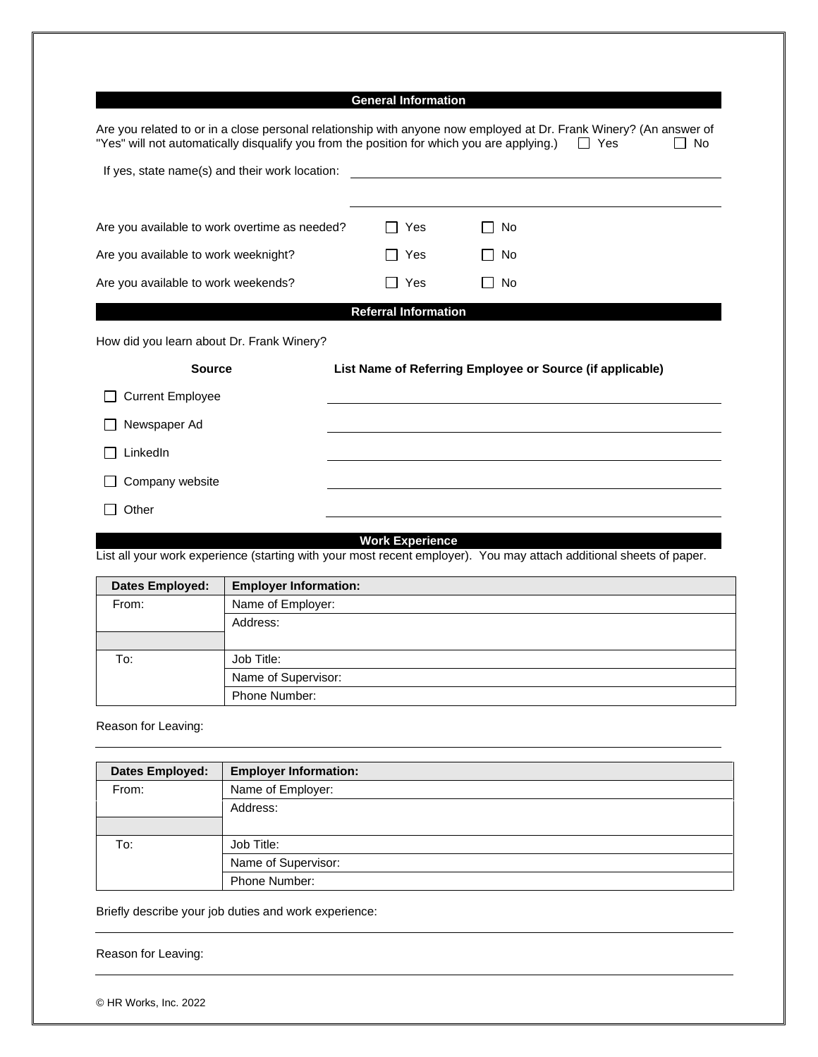## **General Information**

| Are you related to or in a close personal relationship with anyone now employed at Dr. Frank Winery? (An answer of<br>"Yes" will not automatically disqualify you from the position for which you are applying.) |                                                           |                |           | $\Box$ Yes | <b>No</b> |
|------------------------------------------------------------------------------------------------------------------------------------------------------------------------------------------------------------------|-----------------------------------------------------------|----------------|-----------|------------|-----------|
| If yes, state name(s) and their work location:                                                                                                                                                                   |                                                           |                |           |            |           |
|                                                                                                                                                                                                                  |                                                           |                |           |            |           |
| Are you available to work overtime as needed?                                                                                                                                                                    | Yes                                                       |                | No        |            |           |
| Are you available to work weeknight?                                                                                                                                                                             | Yes                                                       | $\blacksquare$ | <b>No</b> |            |           |
| Are you available to work weekends?                                                                                                                                                                              | Yes                                                       |                | <b>No</b> |            |           |
|                                                                                                                                                                                                                  | <b>Referral Information</b>                               |                |           |            |           |
| How did you learn about Dr. Frank Winery?                                                                                                                                                                        |                                                           |                |           |            |           |
| <b>Source</b>                                                                                                                                                                                                    | List Name of Referring Employee or Source (if applicable) |                |           |            |           |
| <b>Current Employee</b>                                                                                                                                                                                          |                                                           |                |           |            |           |
| Newspaper Ad                                                                                                                                                                                                     |                                                           |                |           |            |           |
| LinkedIn                                                                                                                                                                                                         |                                                           |                |           |            |           |
| Company website                                                                                                                                                                                                  |                                                           |                |           |            |           |
| Other                                                                                                                                                                                                            |                                                           |                |           |            |           |

**Work Experience**

List all your work experience (starting with your most recent employer). You may attach additional sheets of paper.

| <b>Dates Employed:</b> | <b>Employer Information:</b> |
|------------------------|------------------------------|
| From:                  | Name of Employer:            |
|                        | Address:                     |
|                        |                              |
| To:                    | Job Title:                   |
|                        | Name of Supervisor:          |
|                        | Phone Number:                |

Reason for Leaving:

| Dates Employed: | <b>Employer Information:</b> |  |
|-----------------|------------------------------|--|
| From:           | Name of Employer:            |  |
|                 | Address:                     |  |
|                 |                              |  |
| To:             | Job Title:                   |  |
|                 | Name of Supervisor:          |  |
|                 | Phone Number:                |  |

Briefly describe your job duties and work experience:

Reason for Leaving: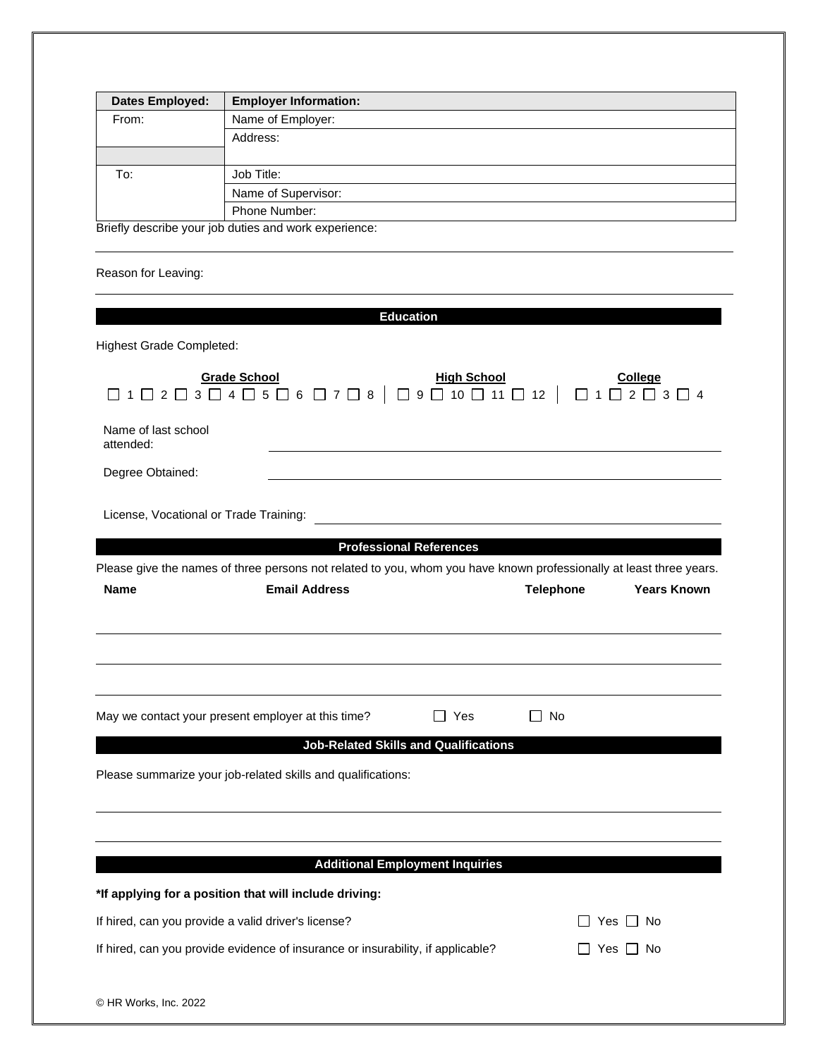| <b>Dates Employed:</b> | <b>Employer Information:</b>                          |
|------------------------|-------------------------------------------------------|
| From:                  | Name of Employer:                                     |
|                        | Address:                                              |
| To:                    | Job Title:                                            |
|                        | Name of Supervisor:                                   |
|                        | Phone Number:                                         |
|                        | Briefly describe your job duties and work experience: |

Reason for Leaving:

| <b>Education</b>                                                                                                                                                            |                                        |
|-----------------------------------------------------------------------------------------------------------------------------------------------------------------------------|----------------------------------------|
| <b>Highest Grade Completed:</b>                                                                                                                                             |                                        |
| <b>Grade School</b><br><u>High School</u><br>$\Box$ 1 $\Box$ 2 $\Box$ 3 $\Box$ 4 $\Box$ 5 $\Box$ 6 $\Box$ 7 $\Box$ 8 $\vert$ $\Box$ 9 $\Box$ 10 $\Box$ 11 $\Box$ 12 $\vert$ | <b>College</b>                         |
| Name of last school<br>attended:                                                                                                                                            |                                        |
| Degree Obtained:                                                                                                                                                            |                                        |
| License, Vocational or Trade Training:                                                                                                                                      |                                        |
| <b>Professional References</b>                                                                                                                                              |                                        |
| Please give the names of three persons not related to you, whom you have known professionally at least three years.                                                         |                                        |
| <b>Email Address</b><br><b>Name</b>                                                                                                                                         | <b>Telephone</b><br><b>Years Known</b> |
| Yes<br>May we contact your present employer at this time?<br><b>Job-Related Skills and Qualifications</b>                                                                   | $\Box$ No                              |
| Please summarize your job-related skills and qualifications:                                                                                                                |                                        |
| <b>Additional Employment Inquiries</b>                                                                                                                                      |                                        |
| *If applying for a position that will include driving:                                                                                                                      |                                        |
| If hired, can you provide a valid driver's license?                                                                                                                         | Yes I I No                             |
| If hired, can you provide evidence of insurance or insurability, if applicable?                                                                                             | ∐ Yes ∐ No                             |